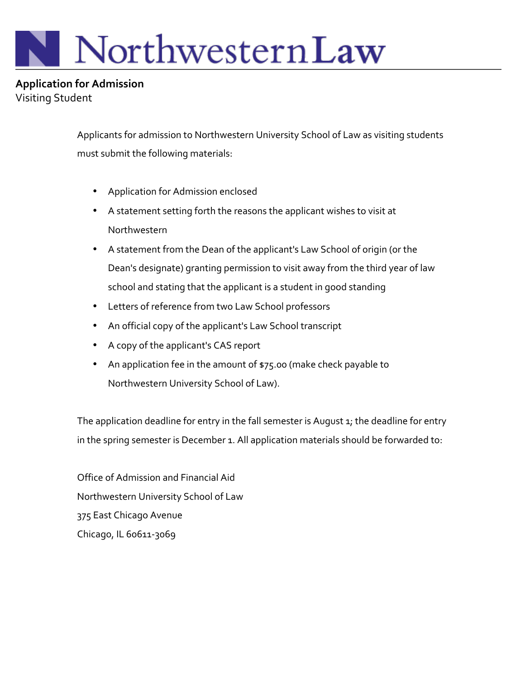# NorthwesternLaw

**Application for Admission** Visiting Student

> Applicants for admission to Northwestern University School of Law as visiting students must submit the following materials:

- Application for Admission enclosed
- A statement setting forth the reasons the applicant wishes to visit at Northwestern
- A statement from the Dean of the applicant's Law School of origin (or the Dean's designate) granting permission to visit away from the third year of law school and stating that the applicant is a student in good standing
- Letters of reference from two Law School professors
- An official copy of the applicant's Law School transcript
- A copy of the applicant's CAS report
- An application fee in the amount of \$75.00 (make check payable to Northwestern University School of Law).

The application deadline for entry in the fall semester is August  $1$ ; the deadline for entry in the spring semester is December 1. All application materials should be forwarded to:

Office of Admission and Financial Aid Northwestern University School of Law 375 East Chicago Avenue Chicago, IL 60611-3069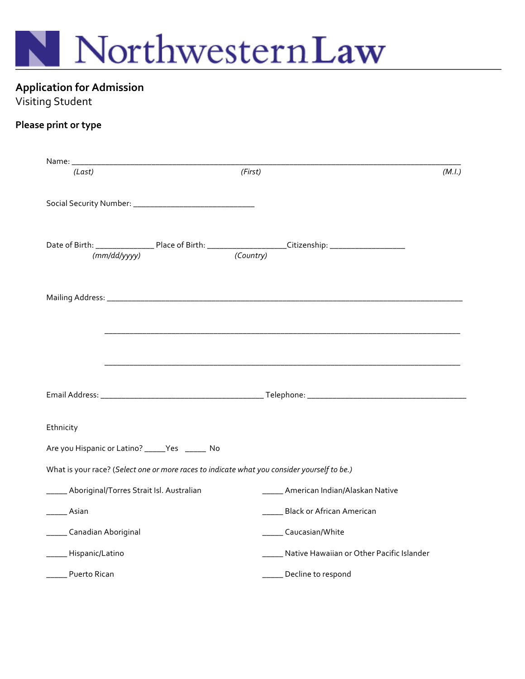

# **Application for Admission**

## Visiting Student

#### Please print or type

| (Last)                                                                                                                         | (First)                                                                                                               | (M.I.) |
|--------------------------------------------------------------------------------------------------------------------------------|-----------------------------------------------------------------------------------------------------------------------|--------|
|                                                                                                                                |                                                                                                                       |        |
| Date of Birth: ________________________Place of Birth: _________________________Citizenship: _________________<br>(mm/dd/yyyy) | (Country)                                                                                                             |        |
|                                                                                                                                |                                                                                                                       |        |
|                                                                                                                                | <u> 1989 - Johann Harry Harry Harry Harry Harry Harry Harry Harry Harry Harry Harry Harry Harry Harry Harry Harry</u> |        |
|                                                                                                                                |                                                                                                                       |        |
|                                                                                                                                |                                                                                                                       |        |
| Ethnicity                                                                                                                      |                                                                                                                       |        |
| Are you Hispanic or Latino? _____Yes ______ No                                                                                 |                                                                                                                       |        |
| What is your race? (Select one or more races to indicate what you consider yourself to be.)                                    |                                                                                                                       |        |
| __ Aboriginal/Torres Strait Isl. Australian                                                                                    | _____ American Indian/Alaskan Native                                                                                  |        |
| Asian                                                                                                                          | Black or African American                                                                                             |        |
| _____ Canadian Aboriginal                                                                                                      | Caucasian/White                                                                                                       |        |
| _____Hispanic/Latino                                                                                                           | Native Hawaiian or Other Pacific Islander                                                                             |        |
| Puerto Rican                                                                                                                   | ____ Decline to respond                                                                                               |        |